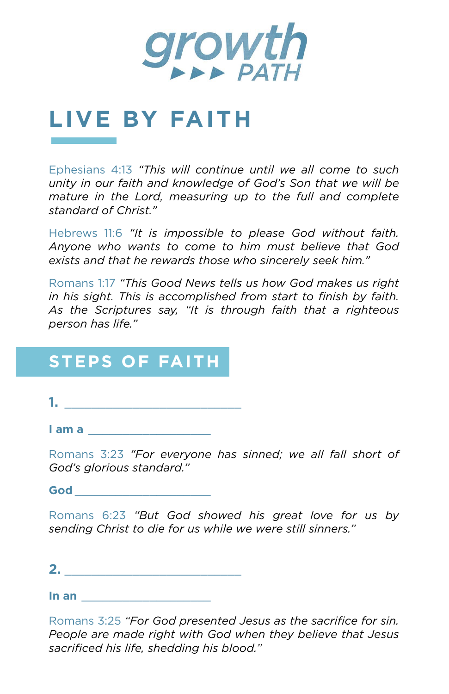

## **LIVE BY FAITH**

Ephesians 4:13 *"This will continue until we all come to such unity in our faith and knowledge of God's Son that we will be mature in the Lord, measuring up to the full and complete standard of Christ."*

Hebrews 11:6 *"It is impossible to please God without faith. Anyone who wants to come to him must believe that God exists and that he rewards those who sincerely seek him."* 

Romans 1:17 *"This Good News tells us how God makes us right in his sight. This is accomplished from start to finish by faith. As the Scriptures say, "It is through faith that a righteous person has life."* 

## **STEPS OF FAITH**

**1.** \_\_\_\_\_\_\_\_\_\_\_\_\_\_\_\_\_\_\_\_\_\_\_\_\_\_

**I am a** \_\_\_\_\_\_\_\_\_\_\_\_\_\_\_\_\_\_

Romans 3:23 *"For everyone has sinned; we all fall short of God's glorious standard."*

**God** \_\_\_\_\_\_\_\_\_\_\_\_\_\_\_\_\_\_\_\_

Romans 6:23 *"But God showed his great love for us by sending Christ to die for us while we were still sinners."*

**2.** \_\_\_\_\_\_\_\_\_\_\_\_\_\_\_\_\_\_\_\_\_\_\_\_\_\_

**In an** \_\_\_\_\_\_\_\_\_\_\_\_\_\_\_\_\_\_\_

Romans 3:25 *"For God presented Jesus as the sacrifice for sin. People are made right with God when they believe that Jesus sacrificed his life, shedding his blood."*